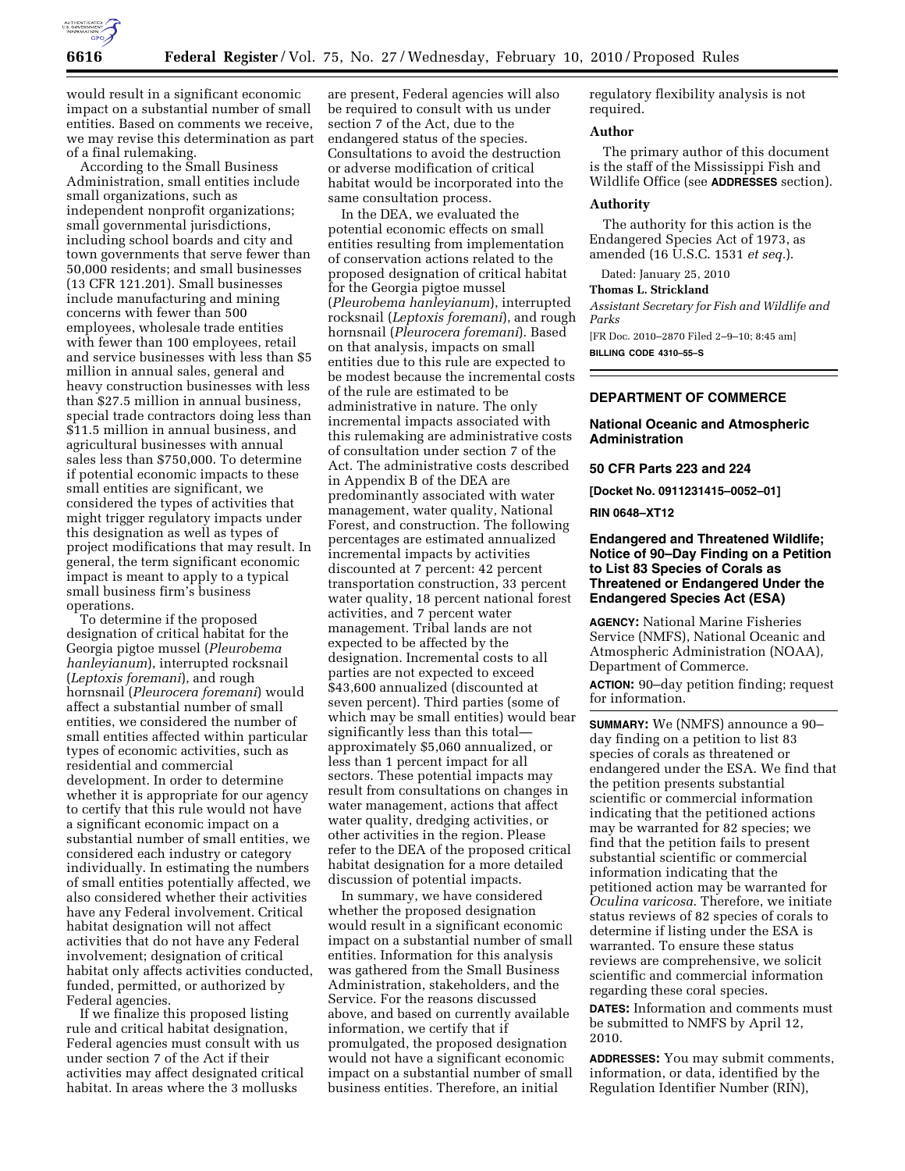

would result in a significant economic impact on a substantial number of small entities. Based on comments we receive, we may revise this determination as part of a final rulemaking.

According to the Small Business Administration, small entities include small organizations, such as independent nonprofit organizations; small governmental jurisdictions, including school boards and city and town governments that serve fewer than 50,000 residents; and small businesses (13 CFR 121.201). Small businesses include manufacturing and mining concerns with fewer than 500 employees, wholesale trade entities with fewer than 100 employees, retail and service businesses with less than \$5 million in annual sales, general and heavy construction businesses with less than \$27.5 million in annual business, special trade contractors doing less than \$11.5 million in annual business, and agricultural businesses with annual sales less than \$750,000. To determine if potential economic impacts to these small entities are significant, we considered the types of activities that might trigger regulatory impacts under this designation as well as types of project modifications that may result. In general, the term significant economic impact is meant to apply to a typical small business firm's business operations.

To determine if the proposed designation of critical habitat for the Georgia pigtoe mussel (*Pleurobema hanleyianum*), interrupted rocksnail (*Leptoxis foremani*), and rough hornsnail (*Pleurocera foremani*) would affect a substantial number of small entities, we considered the number of small entities affected within particular types of economic activities, such as residential and commercial development. In order to determine whether it is appropriate for our agency to certify that this rule would not have a significant economic impact on a substantial number of small entities, we considered each industry or category individually. In estimating the numbers of small entities potentially affected, we also considered whether their activities have any Federal involvement. Critical habitat designation will not affect activities that do not have any Federal involvement; designation of critical habitat only affects activities conducted, funded, permitted, or authorized by Federal agencies.

If we finalize this proposed listing rule and critical habitat designation, Federal agencies must consult with us under section 7 of the Act if their activities may affect designated critical habitat. In areas where the 3 mollusks

are present, Federal agencies will also be required to consult with us under section 7 of the Act, due to the endangered status of the species. Consultations to avoid the destruction or adverse modification of critical habitat would be incorporated into the same consultation process.

In the DEA, we evaluated the potential economic effects on small entities resulting from implementation of conservation actions related to the proposed designation of critical habitat for the Georgia pigtoe mussel (*Pleurobema hanleyianum*), interrupted rocksnail (*Leptoxis foremani*), and rough hornsnail (*Pleurocera foremani*). Based on that analysis, impacts on small entities due to this rule are expected to be modest because the incremental costs of the rule are estimated to be administrative in nature. The only incremental impacts associated with this rulemaking are administrative costs of consultation under section 7 of the Act. The administrative costs described in Appendix B of the DEA are predominantly associated with water management, water quality, National Forest, and construction. The following percentages are estimated annualized incremental impacts by activities discounted at 7 percent: 42 percent transportation construction, 33 percent water quality, 18 percent national forest activities, and 7 percent water management. Tribal lands are not expected to be affected by the designation. Incremental costs to all parties are not expected to exceed \$43,600 annualized (discounted at seven percent). Third parties (some of which may be small entities) would bear significantly less than this total approximately \$5,060 annualized, or less than 1 percent impact for all sectors. These potential impacts may result from consultations on changes in water management, actions that affect water quality, dredging activities, or other activities in the region. Please refer to the DEA of the proposed critical habitat designation for a more detailed discussion of potential impacts.

In summary, we have considered whether the proposed designation would result in a significant economic impact on a substantial number of small entities. Information for this analysis was gathered from the Small Business Administration, stakeholders, and the Service. For the reasons discussed above, and based on currently available information, we certify that if promulgated, the proposed designation would not have a significant economic impact on a substantial number of small business entities. Therefore, an initial

regulatory flexibility analysis is not required.

## **Author**

The primary author of this document is the staff of the Mississippi Fish and Wildlife Office (see **ADDRESSES** section).

## **Authority**

The authority for this action is the Endangered Species Act of 1973, as amended (16 U.S.C. 1531 *et seq.*).

Dated: January 25, 2010

# **Thomas L. Strickland**

*Assistant Secretary for Fish and Wildlife and Parks* 

[FR Doc. 2010–2870 Filed 2–9–10; 8:45 am] **BILLING CODE 4310–55–S** 

# **DEPARTMENT OF COMMERCE**

**National Oceanic and Atmospheric Administration** 

#### **50 CFR Parts 223 and 224**

**[Docket No. 0911231415–0052–01]** 

**RIN 0648–XT12** 

## **Endangered and Threatened Wildlife; Notice of 90–Day Finding on a Petition to List 83 Species of Corals as Threatened or Endangered Under the Endangered Species Act (ESA)**

**AGENCY:** National Marine Fisheries Service (NMFS), National Oceanic and Atmospheric Administration (NOAA), Department of Commerce.

**ACTION:** 90–day petition finding; request for information.

**SUMMARY:** We (NMFS) announce a 90– day finding on a petition to list 83 species of corals as threatened or endangered under the ESA. We find that the petition presents substantial scientific or commercial information indicating that the petitioned actions may be warranted for 82 species; we find that the petition fails to present substantial scientific or commercial information indicating that the petitioned action may be warranted for *Oculina varicosa*. Therefore, we initiate status reviews of 82 species of corals to determine if listing under the ESA is warranted. To ensure these status reviews are comprehensive, we solicit scientific and commercial information regarding these coral species.

**DATES:** Information and comments must be submitted to NMFS by April 12, 2010.

**ADDRESSES:** You may submit comments, information, or data, identified by the Regulation Identifier Number (RIN),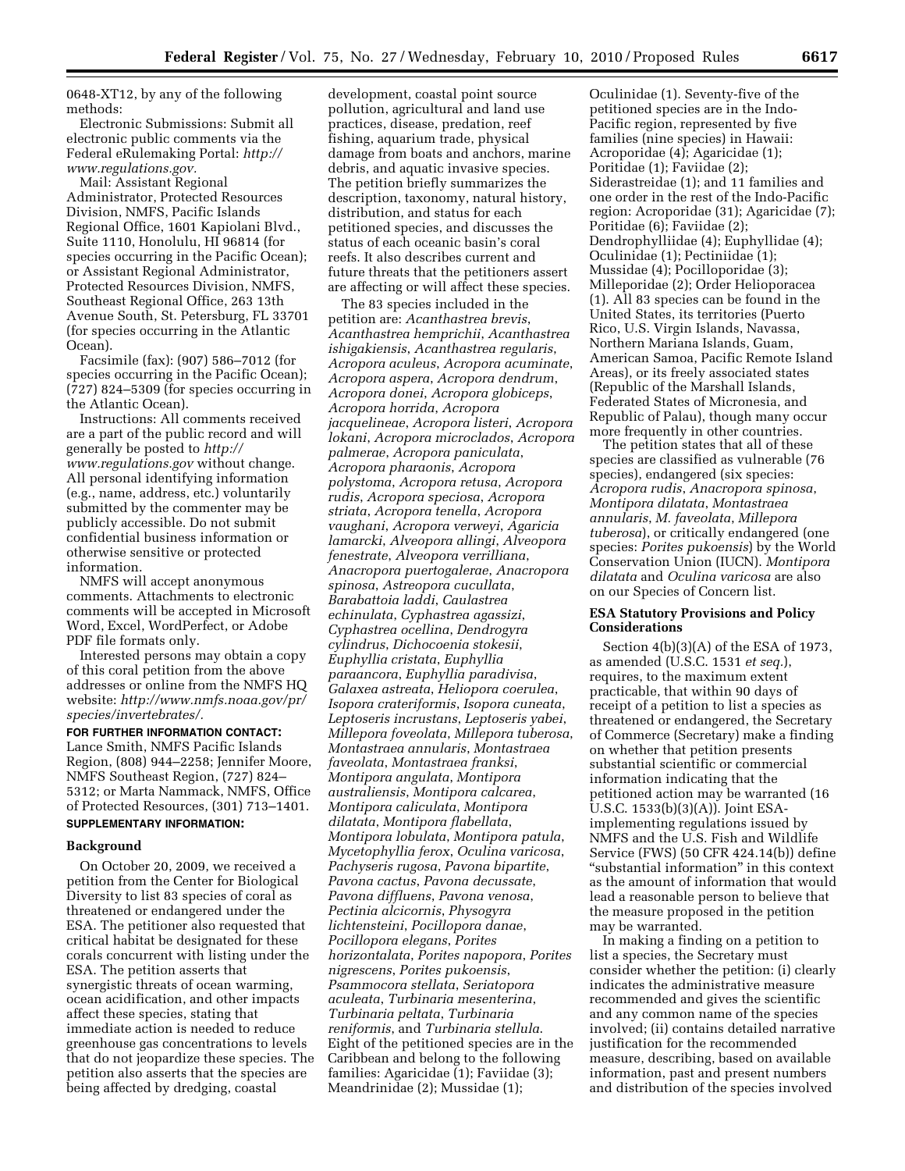0648-XT12, by any of the following methods:

Electronic Submissions: Submit all electronic public comments via the Federal eRulemaking Portal: *http:// www.regulations.gov.* 

Mail: Assistant Regional Administrator, Protected Resources Division, NMFS, Pacific Islands Regional Office, 1601 Kapiolani Blvd., Suite 1110, Honolulu, HI 96814 (for species occurring in the Pacific Ocean); or Assistant Regional Administrator, Protected Resources Division, NMFS, Southeast Regional Office, 263 13th Avenue South, St. Petersburg, FL 33701 (for species occurring in the Atlantic Ocean).

Facsimile (fax): (907) 586–7012 (for species occurring in the Pacific Ocean); (727) 824–5309 (for species occurring in the Atlantic Ocean).

Instructions: All comments received are a part of the public record and will generally be posted to *http:// www.regulations.gov* without change. All personal identifying information (e.g., name, address, etc.) voluntarily submitted by the commenter may be publicly accessible. Do not submit confidential business information or otherwise sensitive or protected information.

NMFS will accept anonymous comments. Attachments to electronic comments will be accepted in Microsoft Word, Excel, WordPerfect, or Adobe PDF file formats only.

Interested persons may obtain a copy of this coral petition from the above addresses or online from the NMFS HQ website: *http://www.nmfs.noaa.gov/pr/ species/invertebrates/.* 

**FOR FURTHER INFORMATION CONTACT:**  Lance Smith, NMFS Pacific Islands Region, (808) 944–2258; Jennifer Moore, NMFS Southeast Region, (727) 824– 5312; or Marta Nammack, NMFS, Office of Protected Resources, (301) 713–1401. **SUPPLEMENTARY INFORMATION:** 

# **Background**

On October 20, 2009, we received a petition from the Center for Biological Diversity to list 83 species of coral as threatened or endangered under the ESA. The petitioner also requested that critical habitat be designated for these corals concurrent with listing under the ESA. The petition asserts that synergistic threats of ocean warming, ocean acidification, and other impacts affect these species, stating that immediate action is needed to reduce greenhouse gas concentrations to levels that do not jeopardize these species. The petition also asserts that the species are being affected by dredging, coastal

development, coastal point source pollution, agricultural and land use practices, disease, predation, reef fishing, aquarium trade, physical damage from boats and anchors, marine debris, and aquatic invasive species. The petition briefly summarizes the description, taxonomy, natural history, distribution, and status for each petitioned species, and discusses the status of each oceanic basin's coral reefs. It also describes current and future threats that the petitioners assert are affecting or will affect these species.

The 83 species included in the petition are: *Acanthastrea brevis*, *Acanthastrea hemprichii*, *Acanthastrea ishigakiensis*, *Acanthastrea regularis*, *Acropora aculeus*, *Acropora acuminate*, *Acropora aspera*, *Acropora dendrum*, *Acropora donei*, *Acropora globiceps*, *Acropora horrida*, *Acropora jacquelineae*, *Acropora listeri*, *Acropora lokani*, *Acropora microclados*, *Acropora palmerae*, *Acropora paniculata*, *Acropora pharaonis*, *Acropora polystoma*, *Acropora retusa*, *Acropora rudis*, *Acropora speciosa*, *Acropora striata*, *Acropora tenella*, *Acropora vaughani*, *Acropora verweyi*, *Agaricia lamarcki*, *Alveopora allingi*, *Alveopora fenestrate*, *Alveopora verrilliana*, *Anacropora puertogalerae*, *Anacropora spinosa*, *Astreopora cucullata*, *Barabattoia laddi*, *Caulastrea echinulata*, *Cyphastrea agassizi*, *Cyphastrea ocellina*, *Dendrogyra cylindrus*, *Dichocoenia stokesii*, *Euphyllia cristata*, *Euphyllia paraancora*, *Euphyllia paradivisa*, *Galaxea astreata*, *Heliopora coerulea*, *Isopora crateriformis*, *Isopora cuneata*, *Leptoseris incrustans*, *Leptoseris yabei*, *Millepora foveolata*, *Millepora tuberosa*, *Montastraea annularis*, *Montastraea faveolata*, *Montastraea franksi*, *Montipora angulata*, *Montipora australiensis*, *Montipora calcarea*, *Montipora caliculata*, *Montipora dilatata*, *Montipora flabellata*, *Montipora lobulata*, *Montipora patula*, *Mycetophyllia ferox*, *Oculina varicosa*, *Pachyseris rugosa*, *Pavona bipartite*, *Pavona cactus*, *Pavona decussate*, *Pavona diffluens*, *Pavona venosa*, *Pectinia alcicornis*, *Physogyra lichtensteini*, *Pocillopora danae*, *Pocillopora elegans*, *Porites horizontalata*, *Porites napopora*, *Porites nigrescens*, *Porites pukoensis*, *Psammocora stellata*, *Seriatopora aculeata*, *Turbinaria mesenterina*, *Turbinaria peltata*, *Turbinaria reniformis*, and *Turbinaria stellula*. Eight of the petitioned species are in the Caribbean and belong to the following families: Agaricidae (1); Faviidae (3); Meandrinidae (2); Mussidae (1);

Oculinidae (1). Seventy-five of the petitioned species are in the Indo-Pacific region, represented by five families (nine species) in Hawaii: Acroporidae (4); Agaricidae (1); Poritidae (1); Faviidae (2); Siderastreidae (1); and 11 families and one order in the rest of the Indo-Pacific region: Acroporidae (31); Agaricidae (7); Poritidae (6); Faviidae (2); Dendrophylliidae (4); Euphyllidae (4); Oculinidae (1); Pectiniidae (1); Mussidae (4); Pocilloporidae (3); Milleporidae (2); Order Helioporacea (1). All 83 species can be found in the United States, its territories (Puerto Rico, U.S. Virgin Islands, Navassa, Northern Mariana Islands, Guam, American Samoa, Pacific Remote Island Areas), or its freely associated states (Republic of the Marshall Islands, Federated States of Micronesia, and Republic of Palau), though many occur more frequently in other countries.

The petition states that all of these species are classified as vulnerable (76 species), endangered (six species: *Acropora rudis*, *Anacropora spinosa*, *Montipora dilatata*, *Montastraea annularis*, *M. faveolata*, *Millepora tuberosa*), or critically endangered (one species: *Porites pukoensis*) by the World Conservation Union (IUCN). *Montipora dilatata* and *Oculina varicosa* are also on our Species of Concern list.

#### **ESA Statutory Provisions and Policy Considerations**

Section 4(b)(3)(A) of the ESA of 1973, as amended (U.S.C. 1531 *et seq.*), requires, to the maximum extent practicable, that within 90 days of receipt of a petition to list a species as threatened or endangered, the Secretary of Commerce (Secretary) make a finding on whether that petition presents substantial scientific or commercial information indicating that the petitioned action may be warranted (16 U.S.C. 1533(b)(3)(A)). Joint ESAimplementing regulations issued by NMFS and the U.S. Fish and Wildlife Service (FWS) (50 CFR 424.14(b)) define ''substantial information'' in this context as the amount of information that would lead a reasonable person to believe that the measure proposed in the petition may be warranted.

In making a finding on a petition to list a species, the Secretary must consider whether the petition: (i) clearly indicates the administrative measure recommended and gives the scientific and any common name of the species involved; (ii) contains detailed narrative justification for the recommended measure, describing, based on available information, past and present numbers and distribution of the species involved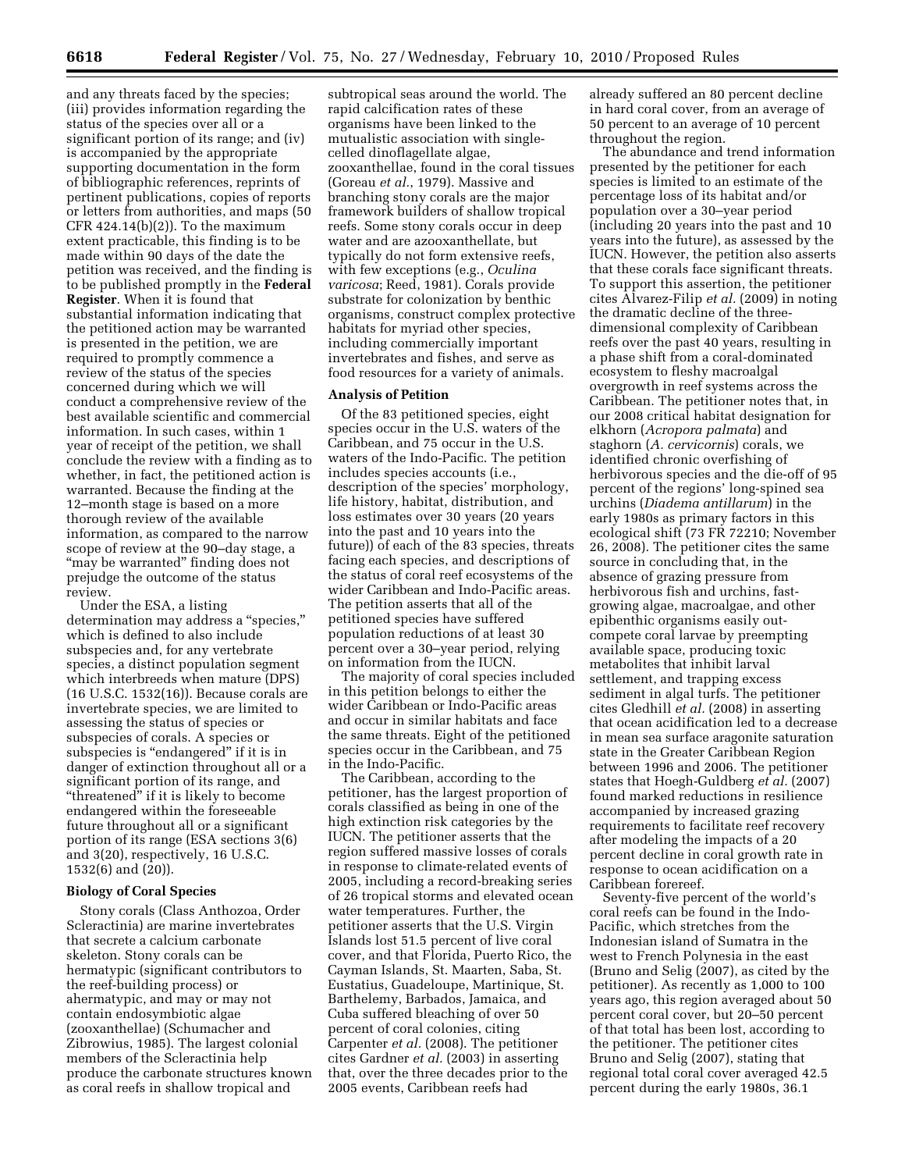and any threats faced by the species; (iii) provides information regarding the status of the species over all or a significant portion of its range; and (iv) is accompanied by the appropriate supporting documentation in the form of bibliographic references, reprints of pertinent publications, copies of reports or letters from authorities, and maps (50  $CFR$  424.14(b)(2)). To the maximum extent practicable, this finding is to be made within 90 days of the date the petition was received, and the finding is to be published promptly in the **Federal Register**. When it is found that substantial information indicating that the petitioned action may be warranted is presented in the petition, we are required to promptly commence a review of the status of the species concerned during which we will conduct a comprehensive review of the best available scientific and commercial information. In such cases, within 1 year of receipt of the petition, we shall conclude the review with a finding as to whether, in fact, the petitioned action is warranted. Because the finding at the 12–month stage is based on a more thorough review of the available information, as compared to the narrow scope of review at the 90–day stage, a ''may be warranted'' finding does not prejudge the outcome of the status review.

Under the ESA, a listing determination may address a ''species,'' which is defined to also include subspecies and, for any vertebrate species, a distinct population segment which interbreeds when mature (DPS) (16 U.S.C. 1532(16)). Because corals are invertebrate species, we are limited to assessing the status of species or subspecies of corals. A species or subspecies is "endangered" if it is in danger of extinction throughout all or a significant portion of its range, and ''threatened'' if it is likely to become endangered within the foreseeable future throughout all or a significant portion of its range (ESA sections 3(6) and 3(20), respectively, 16 U.S.C. 1532(6) and (20)).

# **Biology of Coral Species**

Stony corals (Class Anthozoa, Order Scleractinia) are marine invertebrates that secrete a calcium carbonate skeleton. Stony corals can be hermatypic (significant contributors to the reef-building process) or ahermatypic, and may or may not contain endosymbiotic algae (zooxanthellae) (Schumacher and Zibrowius, 1985). The largest colonial members of the Scleractinia help produce the carbonate structures known as coral reefs in shallow tropical and

subtropical seas around the world. The rapid calcification rates of these organisms have been linked to the mutualistic association with singlecelled dinoflagellate algae, zooxanthellae, found in the coral tissues (Goreau *et al.*, 1979). Massive and branching stony corals are the major framework builders of shallow tropical reefs. Some stony corals occur in deep water and are azooxanthellate, but typically do not form extensive reefs, with few exceptions (e.g., *Oculina varicosa*; Reed, 1981). Corals provide substrate for colonization by benthic organisms, construct complex protective habitats for myriad other species, including commercially important invertebrates and fishes, and serve as food resources for a variety of animals.

# **Analysis of Petition**

Of the 83 petitioned species, eight species occur in the U.S. waters of the Caribbean, and 75 occur in the U.S. waters of the Indo-Pacific. The petition includes species accounts (i.e., description of the species' morphology, life history, habitat, distribution, and loss estimates over 30 years (20 years into the past and 10 years into the future)) of each of the 83 species, threats facing each species, and descriptions of the status of coral reef ecosystems of the wider Caribbean and Indo-Pacific areas. The petition asserts that all of the petitioned species have suffered population reductions of at least 30 percent over a 30–year period, relying on information from the IUCN.

The majority of coral species included in this petition belongs to either the wider Caribbean or Indo-Pacific areas and occur in similar habitats and face the same threats. Eight of the petitioned species occur in the Caribbean, and 75 in the Indo-Pacific.

The Caribbean, according to the petitioner, has the largest proportion of corals classified as being in one of the high extinction risk categories by the IUCN. The petitioner asserts that the region suffered massive losses of corals in response to climate-related events of 2005, including a record-breaking series of 26 tropical storms and elevated ocean water temperatures. Further, the petitioner asserts that the U.S. Virgin Islands lost 51.5 percent of live coral cover, and that Florida, Puerto Rico, the Cayman Islands, St. Maarten, Saba, St. Eustatius, Guadeloupe, Martinique, St. Barthelemy, Barbados, Jamaica, and Cuba suffered bleaching of over 50 percent of coral colonies, citing Carpenter *et al.* (2008). The petitioner cites Gardner *et al.* (2003) in asserting that, over the three decades prior to the 2005 events, Caribbean reefs had

already suffered an 80 percent decline in hard coral cover, from an average of 50 percent to an average of 10 percent throughout the region.

The abundance and trend information presented by the petitioner for each species is limited to an estimate of the percentage loss of its habitat and/or population over a 30–year period (including 20 years into the past and 10 years into the future), as assessed by the IUCN. However, the petition also asserts that these corals face significant threats. To support this assertion, the petitioner cites Alvarez-Filip *et al.* (2009) in noting the dramatic decline of the threedimensional complexity of Caribbean reefs over the past 40 years, resulting in a phase shift from a coral-dominated ecosystem to fleshy macroalgal overgrowth in reef systems across the Caribbean. The petitioner notes that, in our 2008 critical habitat designation for elkhorn (*Acropora palmata*) and staghorn (*A. cervicornis*) corals, we identified chronic overfishing of herbivorous species and the die-off of 95 percent of the regions' long-spined sea urchins (*Diadema antillarum*) in the early 1980s as primary factors in this ecological shift (73 FR 72210; November 26, 2008). The petitioner cites the same source in concluding that, in the absence of grazing pressure from herbivorous fish and urchins, fastgrowing algae, macroalgae, and other epibenthic organisms easily outcompete coral larvae by preempting available space, producing toxic metabolites that inhibit larval settlement, and trapping excess sediment in algal turfs. The petitioner cites Gledhill *et al.* (2008) in asserting that ocean acidification led to a decrease in mean sea surface aragonite saturation state in the Greater Caribbean Region between 1996 and 2006. The petitioner states that Hoegh-Guldberg *et al.* (2007) found marked reductions in resilience accompanied by increased grazing requirements to facilitate reef recovery after modeling the impacts of a 20 percent decline in coral growth rate in response to ocean acidification on a Caribbean forereef.

Seventy-five percent of the world's coral reefs can be found in the Indo-Pacific, which stretches from the Indonesian island of Sumatra in the west to French Polynesia in the east (Bruno and Selig (2007), as cited by the petitioner). As recently as 1,000 to 100 years ago, this region averaged about 50 percent coral cover, but 20–50 percent of that total has been lost, according to the petitioner. The petitioner cites Bruno and Selig (2007), stating that regional total coral cover averaged 42.5 percent during the early 1980s, 36.1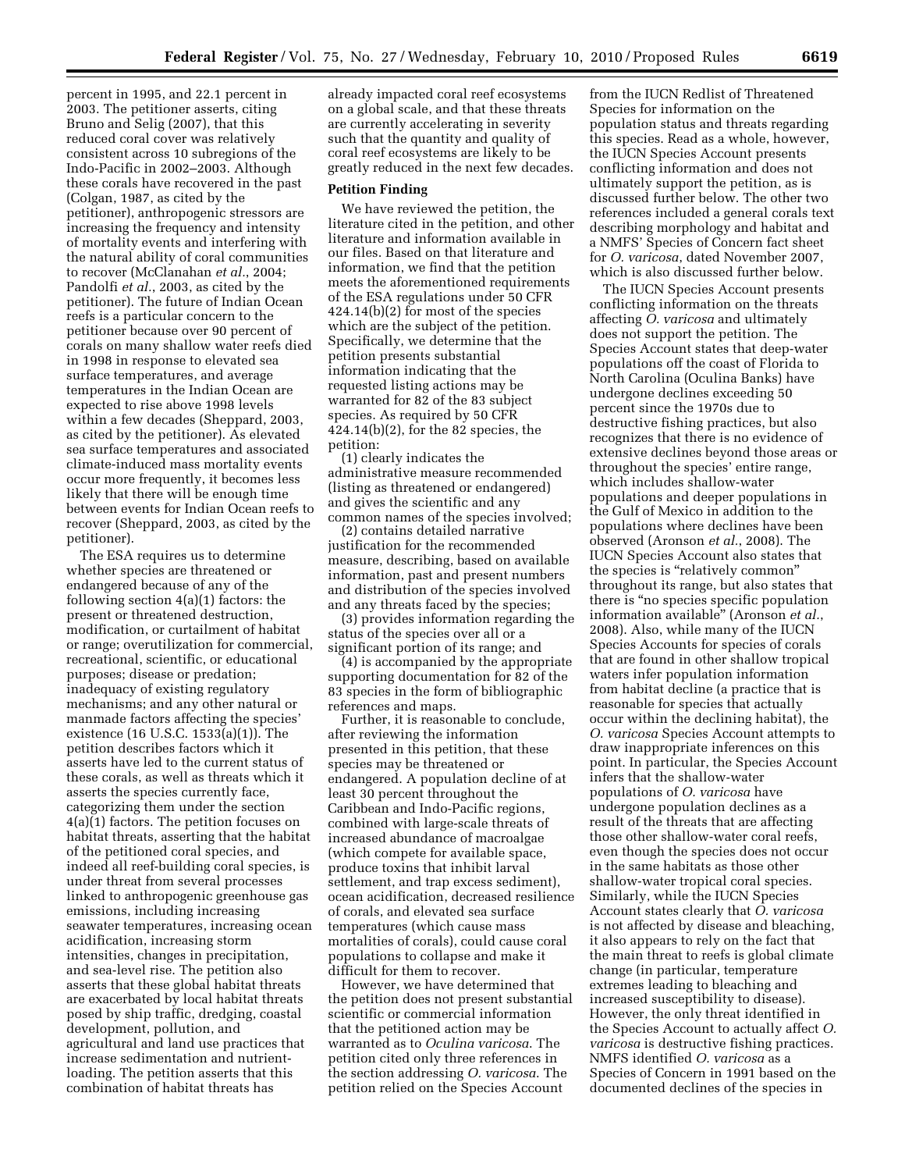percent in 1995, and 22.1 percent in 2003. The petitioner asserts, citing Bruno and Selig (2007), that this reduced coral cover was relatively consistent across 10 subregions of the Indo-Pacific in 2002–2003. Although these corals have recovered in the past (Colgan, 1987, as cited by the petitioner), anthropogenic stressors are increasing the frequency and intensity of mortality events and interfering with the natural ability of coral communities to recover (McClanahan *et al.*, 2004; Pandolfi *et al.*, 2003, as cited by the petitioner). The future of Indian Ocean reefs is a particular concern to the petitioner because over 90 percent of corals on many shallow water reefs died in 1998 in response to elevated sea surface temperatures, and average temperatures in the Indian Ocean are expected to rise above 1998 levels within a few decades (Sheppard, 2003, as cited by the petitioner). As elevated sea surface temperatures and associated climate-induced mass mortality events occur more frequently, it becomes less likely that there will be enough time between events for Indian Ocean reefs to recover (Sheppard, 2003, as cited by the petitioner).

The ESA requires us to determine whether species are threatened or endangered because of any of the following section 4(a)(1) factors: the present or threatened destruction, modification, or curtailment of habitat or range; overutilization for commercial, recreational, scientific, or educational purposes; disease or predation; inadequacy of existing regulatory mechanisms; and any other natural or manmade factors affecting the species' existence (16 U.S.C. 1533(a)(1)). The petition describes factors which it asserts have led to the current status of these corals, as well as threats which it asserts the species currently face, categorizing them under the section 4(a)(1) factors. The petition focuses on habitat threats, asserting that the habitat of the petitioned coral species, and indeed all reef-building coral species, is under threat from several processes linked to anthropogenic greenhouse gas emissions, including increasing seawater temperatures, increasing ocean acidification, increasing storm intensities, changes in precipitation, and sea-level rise. The petition also asserts that these global habitat threats are exacerbated by local habitat threats posed by ship traffic, dredging, coastal development, pollution, and agricultural and land use practices that increase sedimentation and nutrientloading. The petition asserts that this combination of habitat threats has

already impacted coral reef ecosystems on a global scale, and that these threats are currently accelerating in severity such that the quantity and quality of coral reef ecosystems are likely to be greatly reduced in the next few decades.

#### **Petition Finding**

We have reviewed the petition, the literature cited in the petition, and other literature and information available in our files. Based on that literature and information, we find that the petition meets the aforementioned requirements of the ESA regulations under 50 CFR 424.14(b)(2) for most of the species which are the subject of the petition. Specifically, we determine that the petition presents substantial information indicating that the requested listing actions may be warranted for 82 of the 83 subject species. As required by 50 CFR 424.14(b)(2), for the 82 species, the petition:

(1) clearly indicates the administrative measure recommended (listing as threatened or endangered) and gives the scientific and any common names of the species involved;

(2) contains detailed narrative justification for the recommended measure, describing, based on available information, past and present numbers and distribution of the species involved and any threats faced by the species;

(3) provides information regarding the status of the species over all or a significant portion of its range; and

(4) is accompanied by the appropriate supporting documentation for 82 of the 83 species in the form of bibliographic references and maps.

Further, it is reasonable to conclude, after reviewing the information presented in this petition, that these species may be threatened or endangered. A population decline of at least 30 percent throughout the Caribbean and Indo-Pacific regions, combined with large-scale threats of increased abundance of macroalgae (which compete for available space, produce toxins that inhibit larval settlement, and trap excess sediment), ocean acidification, decreased resilience of corals, and elevated sea surface temperatures (which cause mass mortalities of corals), could cause coral populations to collapse and make it difficult for them to recover.

However, we have determined that the petition does not present substantial scientific or commercial information that the petitioned action may be warranted as to *Oculina varicosa*. The petition cited only three references in the section addressing *O. varicosa*. The petition relied on the Species Account

from the IUCN Redlist of Threatened Species for information on the population status and threats regarding this species. Read as a whole, however, the IUCN Species Account presents conflicting information and does not ultimately support the petition, as is discussed further below. The other two references included a general corals text describing morphology and habitat and a NMFS' Species of Concern fact sheet for *O. varicosa*, dated November 2007, which is also discussed further below.

The IUCN Species Account presents conflicting information on the threats affecting *O. varicosa* and ultimately does not support the petition. The Species Account states that deep-water populations off the coast of Florida to North Carolina (Oculina Banks) have undergone declines exceeding 50 percent since the 1970s due to destructive fishing practices, but also recognizes that there is no evidence of extensive declines beyond those areas or throughout the species' entire range, which includes shallow-water populations and deeper populations in the Gulf of Mexico in addition to the populations where declines have been observed (Aronson *et al.*, 2008). The IUCN Species Account also states that the species is ''relatively common'' throughout its range, but also states that there is "no species specific population information available'' (Aronson *et al.*, 2008). Also, while many of the IUCN Species Accounts for species of corals that are found in other shallow tropical waters infer population information from habitat decline (a practice that is reasonable for species that actually occur within the declining habitat), the *O. varicosa* Species Account attempts to draw inappropriate inferences on this point. In particular, the Species Account infers that the shallow-water populations of *O. varicosa* have undergone population declines as a result of the threats that are affecting those other shallow-water coral reefs, even though the species does not occur in the same habitats as those other shallow-water tropical coral species. Similarly, while the IUCN Species Account states clearly that *O. varicosa*  is not affected by disease and bleaching, it also appears to rely on the fact that the main threat to reefs is global climate change (in particular, temperature extremes leading to bleaching and increased susceptibility to disease). However, the only threat identified in the Species Account to actually affect *O. varicosa* is destructive fishing practices. NMFS identified *O. varicosa* as a Species of Concern in 1991 based on the documented declines of the species in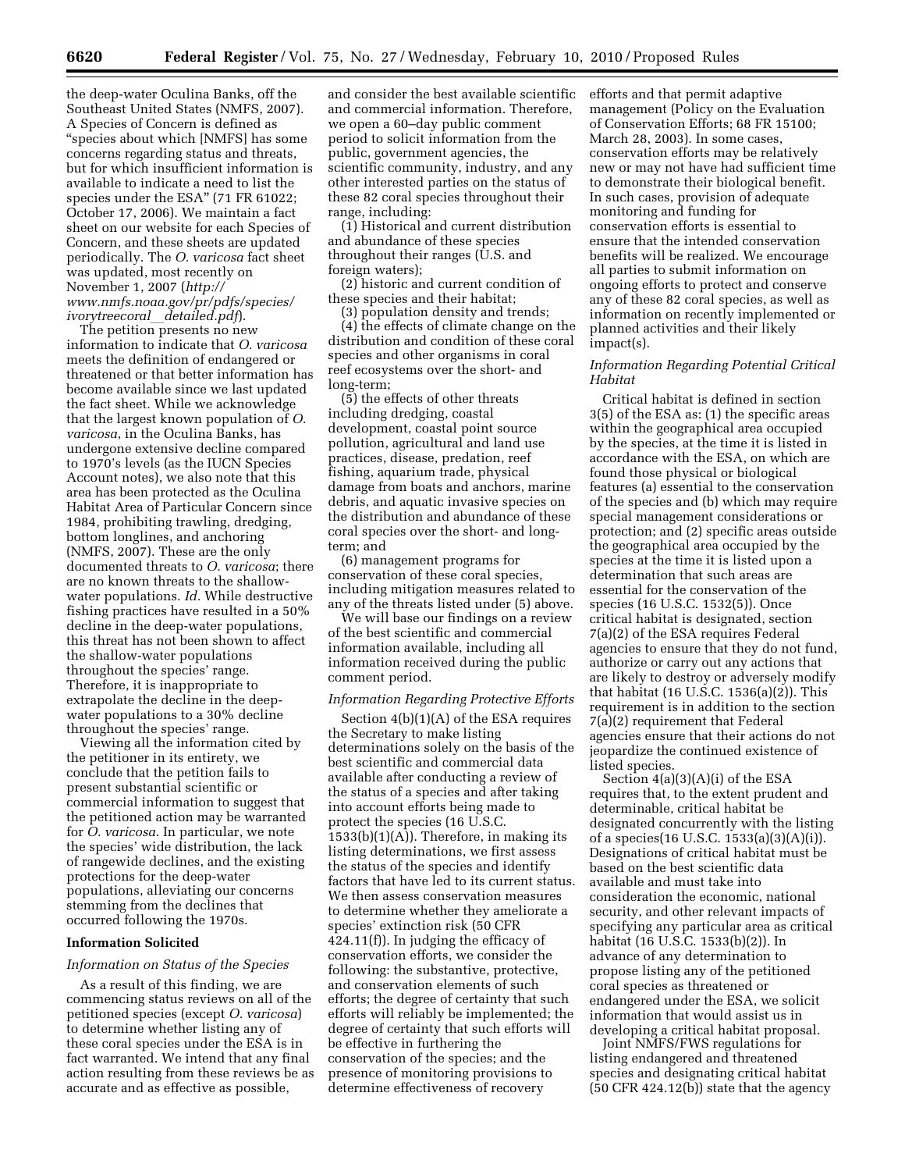the deep-water Oculina Banks, off the Southeast United States (NMFS, 2007). A Species of Concern is defined as ''species about which [NMFS] has some concerns regarding status and threats, but for which insufficient information is available to indicate a need to list the species under the ESA" (71 FR 61022; October 17, 2006). We maintain a fact sheet on our website for each Species of Concern, and these sheets are updated periodically. The *O. varicosa* fact sheet was updated, most recently on November 1, 2007 (*http:// www.nmfs.noaa.gov/pr/pdfs/species/ ivorytreecoral*l*detailed.pdf*).

The petition presents no new information to indicate that *O. varicosa*  meets the definition of endangered or threatened or that better information has become available since we last updated the fact sheet. While we acknowledge that the largest known population of *O. varicosa*, in the Oculina Banks, has undergone extensive decline compared to 1970's levels (as the IUCN Species Account notes), we also note that this area has been protected as the Oculina Habitat Area of Particular Concern since 1984, prohibiting trawling, dredging, bottom longlines, and anchoring (NMFS, 2007). These are the only documented threats to *O. varicosa*; there are no known threats to the shallowwater populations. *Id.* While destructive fishing practices have resulted in a 50% decline in the deep-water populations, this threat has not been shown to affect the shallow-water populations throughout the species' range. Therefore, it is inappropriate to extrapolate the decline in the deepwater populations to a 30% decline throughout the species' range.

Viewing all the information cited by the petitioner in its entirety, we conclude that the petition fails to present substantial scientific or commercial information to suggest that the petitioned action may be warranted for *O. varicosa*. In particular, we note the species' wide distribution, the lack of rangewide declines, and the existing protections for the deep-water populations, alleviating our concerns stemming from the declines that occurred following the 1970s.

#### **Information Solicited**

#### *Information on Status of the Species*

As a result of this finding, we are commencing status reviews on all of the petitioned species (except *O. varicosa*) to determine whether listing any of these coral species under the ESA is in fact warranted. We intend that any final action resulting from these reviews be as accurate and as effective as possible,

and consider the best available scientific and commercial information. Therefore, we open a 60–day public comment period to solicit information from the public, government agencies, the scientific community, industry, and any other interested parties on the status of these 82 coral species throughout their range, including:

(1) Historical and current distribution and abundance of these species throughout their ranges (U.S. and foreign waters);

(2) historic and current condition of these species and their habitat;

(3) population density and trends; (4) the effects of climate change on the distribution and condition of these coral species and other organisms in coral reef ecosystems over the short- and long-term;

(5) the effects of other threats including dredging, coastal development, coastal point source pollution, agricultural and land use practices, disease, predation, reef fishing, aquarium trade, physical damage from boats and anchors, marine debris, and aquatic invasive species on the distribution and abundance of these coral species over the short- and longterm; and

(6) management programs for conservation of these coral species, including mitigation measures related to any of the threats listed under (5) above.

We will base our findings on a review of the best scientific and commercial information available, including all information received during the public comment period.

#### *Information Regarding Protective Efforts*

Section 4(b)(1)(A) of the ESA requires the Secretary to make listing determinations solely on the basis of the best scientific and commercial data available after conducting a review of the status of a species and after taking into account efforts being made to protect the species (16 U.S.C. 1533(b)(1)(A)). Therefore, in making its listing determinations, we first assess the status of the species and identify factors that have led to its current status. We then assess conservation measures to determine whether they ameliorate a species' extinction risk (50 CFR 424.11(f)). In judging the efficacy of conservation efforts, we consider the following: the substantive, protective, and conservation elements of such efforts; the degree of certainty that such efforts will reliably be implemented; the degree of certainty that such efforts will be effective in furthering the conservation of the species; and the presence of monitoring provisions to determine effectiveness of recovery

efforts and that permit adaptive management (Policy on the Evaluation of Conservation Efforts; 68 FR 15100; March 28, 2003). In some cases, conservation efforts may be relatively new or may not have had sufficient time to demonstrate their biological benefit. In such cases, provision of adequate monitoring and funding for conservation efforts is essential to ensure that the intended conservation benefits will be realized. We encourage all parties to submit information on ongoing efforts to protect and conserve any of these 82 coral species, as well as information on recently implemented or planned activities and their likely impact(s).

### *Information Regarding Potential Critical Habitat*

Critical habitat is defined in section 3(5) of the ESA as: (1) the specific areas within the geographical area occupied by the species, at the time it is listed in accordance with the ESA, on which are found those physical or biological features (a) essential to the conservation of the species and (b) which may require special management considerations or protection; and (2) specific areas outside the geographical area occupied by the species at the time it is listed upon a determination that such areas are essential for the conservation of the species (16 U.S.C. 1532(5)). Once critical habitat is designated, section 7(a)(2) of the ESA requires Federal agencies to ensure that they do not fund, authorize or carry out any actions that are likely to destroy or adversely modify that habitat (16 U.S.C. 1536(a)(2)). This requirement is in addition to the section 7(a)(2) requirement that Federal agencies ensure that their actions do not jeopardize the continued existence of listed species.

Section 4(a)(3)(A)(i) of the ESA requires that, to the extent prudent and determinable, critical habitat be designated concurrently with the listing of a species(16 U.S.C. 1533(a)(3)(A)(i)). Designations of critical habitat must be based on the best scientific data available and must take into consideration the economic, national security, and other relevant impacts of specifying any particular area as critical habitat (16 U.S.C. 1533(b)(2)). In advance of any determination to propose listing any of the petitioned coral species as threatened or endangered under the ESA, we solicit information that would assist us in developing a critical habitat proposal.

Joint NMFS/FWS regulations for listing endangered and threatened species and designating critical habitat (50 CFR 424.12(b)) state that the agency